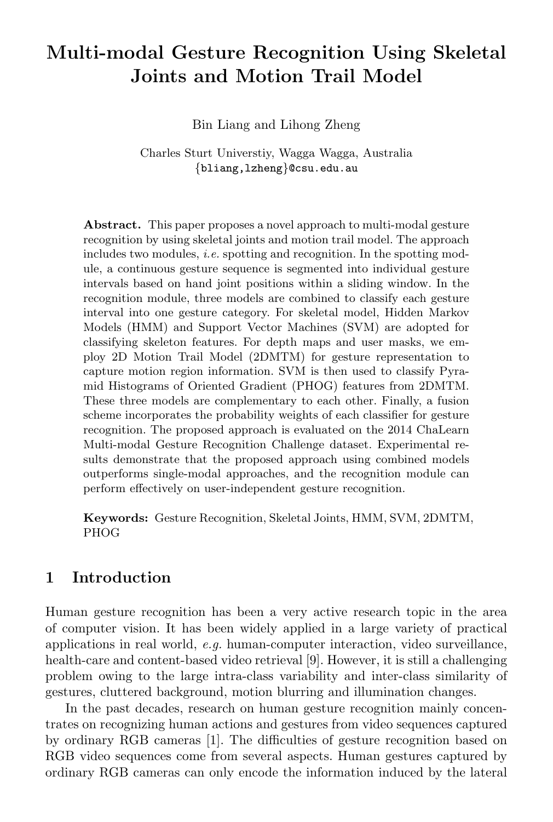# Multi-modal Gesture Recognition Using Skeletal Joints and Motion Trail Model

Bin Liang and Lihong Zheng

Charles Sturt Universtiy, Wagga Wagga, Australia {bliang,lzheng}@csu.edu.au

Abstract. This paper proposes a novel approach to multi-modal gesture recognition by using skeletal joints and motion trail model. The approach includes two modules, i.e. spotting and recognition. In the spotting module, a continuous gesture sequence is segmented into individual gesture intervals based on hand joint positions within a sliding window. In the recognition module, three models are combined to classify each gesture interval into one gesture category. For skeletal model, Hidden Markov Models (HMM) and Support Vector Machines (SVM) are adopted for classifying skeleton features. For depth maps and user masks, we employ 2D Motion Trail Model (2DMTM) for gesture representation to capture motion region information. SVM is then used to classify Pyramid Histograms of Oriented Gradient (PHOG) features from 2DMTM. These three models are complementary to each other. Finally, a fusion scheme incorporates the probability weights of each classifier for gesture recognition. The proposed approach is evaluated on the 2014 ChaLearn Multi-modal Gesture Recognition Challenge dataset. Experimental results demonstrate that the proposed approach using combined models outperforms single-modal approaches, and the recognition module can perform effectively on user-independent gesture recognition.

Keywords: Gesture Recognition, Skeletal Joints, HMM, SVM, 2DMTM, PHOG

# 1 Introduction

Human gesture recognition has been a very active research topic in the area of computer vision. It has been widely applied in a large variety of practical applications in real world, e.g. human-computer interaction, video surveillance, health-care and content-based video retrieval [9]. However, it is still a challenging problem owing to the large intra-class variability and inter-class similarity of gestures, cluttered background, motion blurring and illumination changes.

In the past decades, research on human gesture recognition mainly concentrates on recognizing human actions and gestures from video sequences captured by ordinary RGB cameras [1]. The difficulties of gesture recognition based on RGB video sequences come from several aspects. Human gestures captured by ordinary RGB cameras can only encode the information induced by the lateral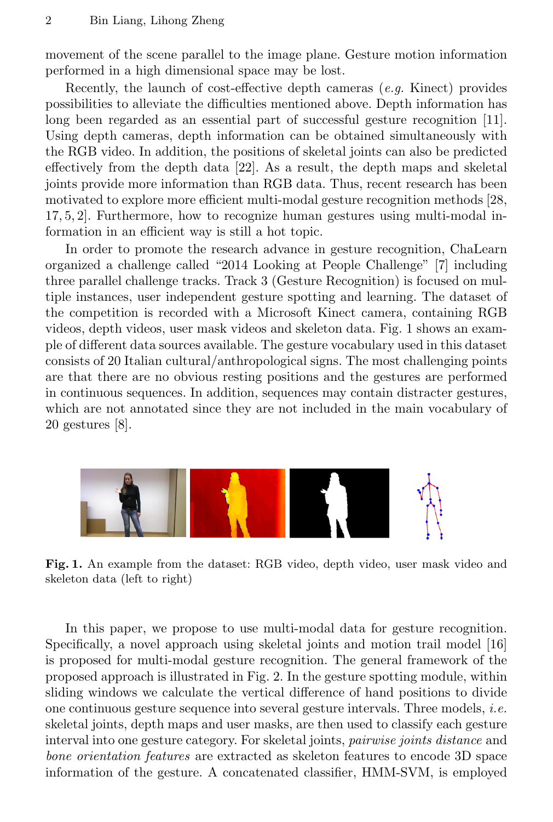movement of the scene parallel to the image plane. Gesture motion information performed in a high dimensional space may be lost.

Recently, the launch of cost-effective depth cameras (e.g. Kinect) provides possibilities to alleviate the difficulties mentioned above. Depth information has long been regarded as an essential part of successful gesture recognition [11]. Using depth cameras, depth information can be obtained simultaneously with the RGB video. In addition, the positions of skeletal joints can also be predicted effectively from the depth data [22]. As a result, the depth maps and skeletal joints provide more information than RGB data. Thus, recent research has been motivated to explore more efficient multi-modal gesture recognition methods [28, 17, 5, 2]. Furthermore, how to recognize human gestures using multi-modal information in an efficient way is still a hot topic.

In order to promote the research advance in gesture recognition, ChaLearn organized a challenge called "2014 Looking at People Challenge" [7] including three parallel challenge tracks. Track 3 (Gesture Recognition) is focused on multiple instances, user independent gesture spotting and learning. The dataset of the competition is recorded with a Microsoft Kinect camera, containing RGB videos, depth videos, user mask videos and skeleton data. Fig. 1 shows an example of different data sources available. The gesture vocabulary used in this dataset consists of 20 Italian cultural/anthropological signs. The most challenging points are that there are no obvious resting positions and the gestures are performed in continuous sequences. In addition, sequences may contain distracter gestures, which are not annotated since they are not included in the main vocabulary of 20 gestures [8].



Fig. 1. An example from the dataset: RGB video, depth video, user mask video and skeleton data (left to right)

In this paper, we propose to use multi-modal data for gesture recognition. Specifically, a novel approach using skeletal joints and motion trail model [16] is proposed for multi-modal gesture recognition. The general framework of the proposed approach is illustrated in Fig. 2. In the gesture spotting module, within sliding windows we calculate the vertical difference of hand positions to divide one continuous gesture sequence into several gesture intervals. Three models, i.e. skeletal joints, depth maps and user masks, are then used to classify each gesture interval into one gesture category. For skeletal joints, pairwise joints distance and bone orientation features are extracted as skeleton features to encode 3D space information of the gesture. A concatenated classifier, HMM-SVM, is employed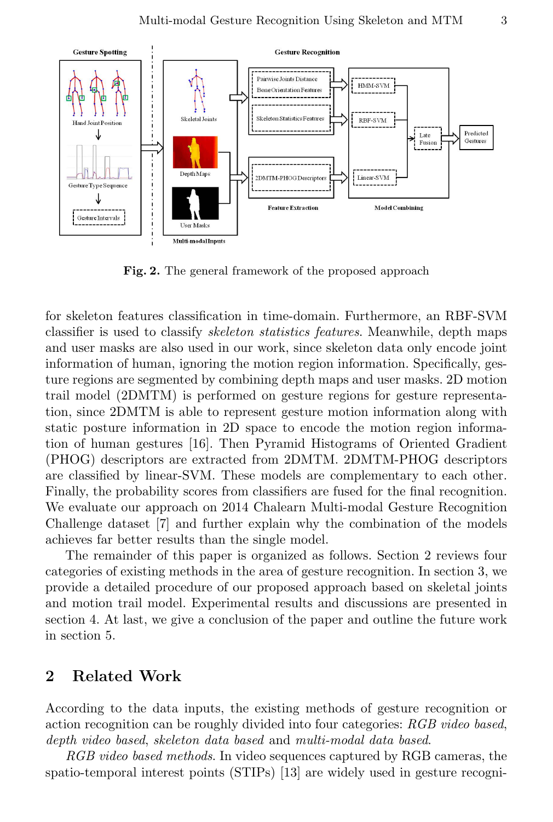

Fig. 2. The general framework of the proposed approach

for skeleton features classification in time-domain. Furthermore, an RBF-SVM classifier is used to classify skeleton statistics features. Meanwhile, depth maps and user masks are also used in our work, since skeleton data only encode joint information of human, ignoring the motion region information. Specifically, gesture regions are segmented by combining depth maps and user masks. 2D motion trail model (2DMTM) is performed on gesture regions for gesture representation, since 2DMTM is able to represent gesture motion information along with static posture information in 2D space to encode the motion region information of human gestures [16]. Then Pyramid Histograms of Oriented Gradient (PHOG) descriptors are extracted from 2DMTM. 2DMTM-PHOG descriptors are classified by linear-SVM. These models are complementary to each other. Finally, the probability scores from classifiers are fused for the final recognition. We evaluate our approach on 2014 Chalearn Multi-modal Gesture Recognition Challenge dataset [7] and further explain why the combination of the models achieves far better results than the single model.

The remainder of this paper is organized as follows. Section 2 reviews four categories of existing methods in the area of gesture recognition. In section 3, we provide a detailed procedure of our proposed approach based on skeletal joints and motion trail model. Experimental results and discussions are presented in section 4. At last, we give a conclusion of the paper and outline the future work in section 5.

## 2 Related Work

According to the data inputs, the existing methods of gesture recognition or action recognition can be roughly divided into four categories: RGB video based, depth video based, skeleton data based and multi-modal data based.

RGB video based methods. In video sequences captured by RGB cameras, the spatio-temporal interest points (STIPs) [13] are widely used in gesture recogni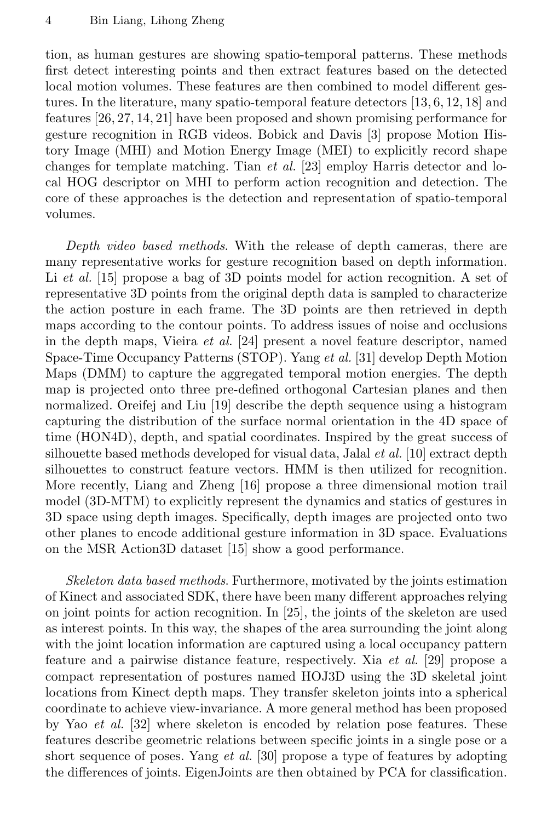tion, as human gestures are showing spatio-temporal patterns. These methods first detect interesting points and then extract features based on the detected local motion volumes. These features are then combined to model different gestures. In the literature, many spatio-temporal feature detectors [13, 6, 12, 18] and features [26, 27, 14, 21] have been proposed and shown promising performance for gesture recognition in RGB videos. Bobick and Davis [3] propose Motion History Image (MHI) and Motion Energy Image (MEI) to explicitly record shape changes for template matching. Tian et al. [23] employ Harris detector and local HOG descriptor on MHI to perform action recognition and detection. The core of these approaches is the detection and representation of spatio-temporal volumes.

Depth video based methods. With the release of depth cameras, there are many representative works for gesture recognition based on depth information. Li et al. [15] propose a bag of 3D points model for action recognition. A set of representative 3D points from the original depth data is sampled to characterize the action posture in each frame. The 3D points are then retrieved in depth maps according to the contour points. To address issues of noise and occlusions in the depth maps, Vieira *et al.* [24] present a novel feature descriptor, named Space-Time Occupancy Patterns (STOP). Yang et al. [31] develop Depth Motion Maps (DMM) to capture the aggregated temporal motion energies. The depth map is projected onto three pre-defined orthogonal Cartesian planes and then normalized. Oreifej and Liu [19] describe the depth sequence using a histogram capturing the distribution of the surface normal orientation in the 4D space of time (HON4D), depth, and spatial coordinates. Inspired by the great success of silhouette based methods developed for visual data, Jalal et al. [10] extract depth silhouettes to construct feature vectors. HMM is then utilized for recognition. More recently, Liang and Zheng [16] propose a three dimensional motion trail model (3D-MTM) to explicitly represent the dynamics and statics of gestures in 3D space using depth images. Specifically, depth images are projected onto two other planes to encode additional gesture information in 3D space. Evaluations on the MSR Action3D dataset [15] show a good performance.

Skeleton data based methods. Furthermore, motivated by the joints estimation of Kinect and associated SDK, there have been many different approaches relying on joint points for action recognition. In [25], the joints of the skeleton are used as interest points. In this way, the shapes of the area surrounding the joint along with the joint location information are captured using a local occupancy pattern feature and a pairwise distance feature, respectively. Xia et al. [29] propose a compact representation of postures named HOJ3D using the 3D skeletal joint locations from Kinect depth maps. They transfer skeleton joints into a spherical coordinate to achieve view-invariance. A more general method has been proposed by Yao et al. [32] where skeleton is encoded by relation pose features. These features describe geometric relations between specific joints in a single pose or a short sequence of poses. Yang et al. [30] propose a type of features by adopting the differences of joints. EigenJoints are then obtained by PCA for classification.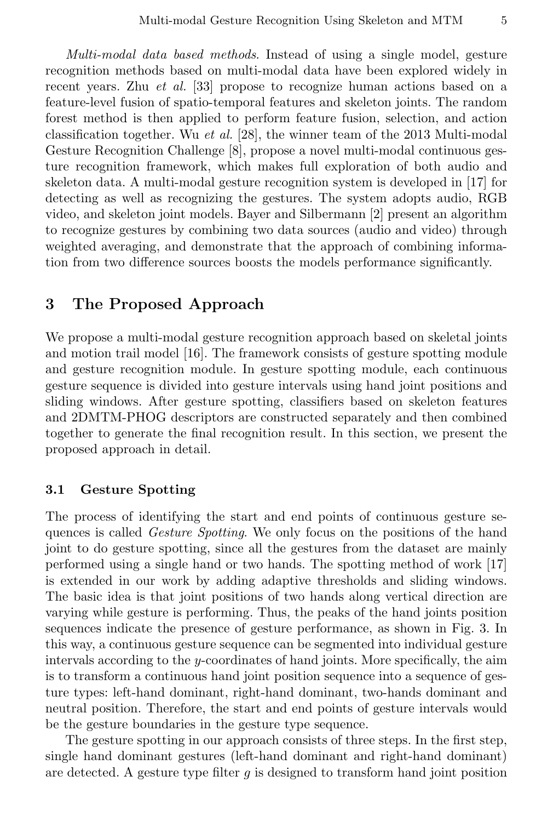Multi-modal data based methods. Instead of using a single model, gesture recognition methods based on multi-modal data have been explored widely in recent years. Zhu et al. [33] propose to recognize human actions based on a feature-level fusion of spatio-temporal features and skeleton joints. The random forest method is then applied to perform feature fusion, selection, and action classification together. Wu et al. [28], the winner team of the 2013 Multi-modal Gesture Recognition Challenge [8], propose a novel multi-modal continuous gesture recognition framework, which makes full exploration of both audio and skeleton data. A multi-modal gesture recognition system is developed in [17] for detecting as well as recognizing the gestures. The system adopts audio, RGB video, and skeleton joint models. Bayer and Silbermann [2] present an algorithm to recognize gestures by combining two data sources (audio and video) through weighted averaging, and demonstrate that the approach of combining information from two difference sources boosts the models performance significantly.

### 3 The Proposed Approach

We propose a multi-modal gesture recognition approach based on skeletal joints and motion trail model [16]. The framework consists of gesture spotting module and gesture recognition module. In gesture spotting module, each continuous gesture sequence is divided into gesture intervals using hand joint positions and sliding windows. After gesture spotting, classifiers based on skeleton features and 2DMTM-PHOG descriptors are constructed separately and then combined together to generate the final recognition result. In this section, we present the proposed approach in detail.

### 3.1 Gesture Spotting

The process of identifying the start and end points of continuous gesture sequences is called Gesture Spotting. We only focus on the positions of the hand joint to do gesture spotting, since all the gestures from the dataset are mainly performed using a single hand or two hands. The spotting method of work [17] is extended in our work by adding adaptive thresholds and sliding windows. The basic idea is that joint positions of two hands along vertical direction are varying while gesture is performing. Thus, the peaks of the hand joints position sequences indicate the presence of gesture performance, as shown in Fig. 3. In this way, a continuous gesture sequence can be segmented into individual gesture intervals according to the  $y$ -coordinates of hand joints. More specifically, the aim is to transform a continuous hand joint position sequence into a sequence of gesture types: left-hand dominant, right-hand dominant, two-hands dominant and neutral position. Therefore, the start and end points of gesture intervals would be the gesture boundaries in the gesture type sequence.

The gesture spotting in our approach consists of three steps. In the first step, single hand dominant gestures (left-hand dominant and right-hand dominant) are detected. A gesture type filter  $g$  is designed to transform hand joint position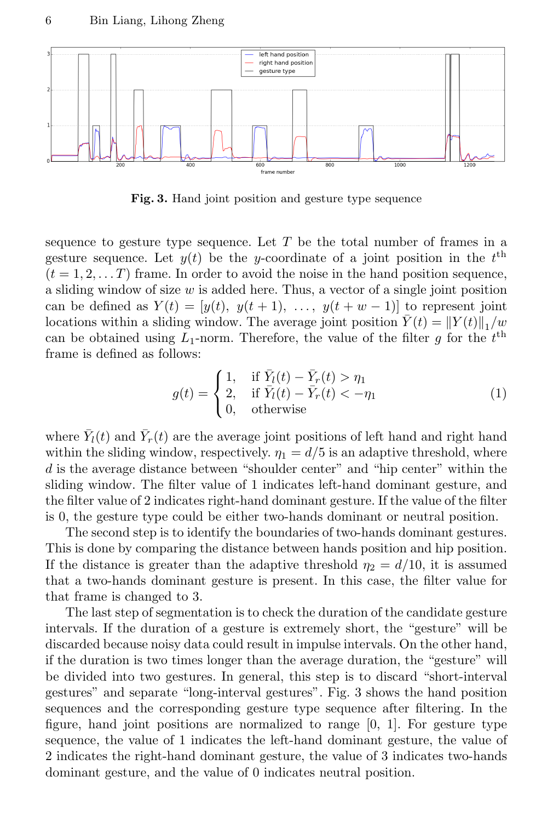

Fig. 3. Hand joint position and gesture type sequence

sequence to gesture type sequence. Let  $T$  be the total number of frames in a gesture sequence. Let  $y(t)$  be the y-coordinate of a joint position in the  $t<sup>th</sup>$  $(t = 1, 2, \ldots T)$  frame. In order to avoid the noise in the hand position sequence, a sliding window of size  $w$  is added here. Thus, a vector of a single joint position can be defined as  $Y(t) = [y(t), y(t+1), \ldots, y(t+w-1)]$  to represent joint locations within a sliding window. The average joint position  $\bar{Y}(t) = ||Y(t)||_1/w$ can be obtained using  $L_1$ -norm. Therefore, the value of the filter g for the  $t<sup>th</sup>$ frame is defined as follows:

$$
g(t) = \begin{cases} 1, & \text{if } \bar{Y}_l(t) - \bar{Y}_r(t) > \eta_1 \\ 2, & \text{if } \bar{Y}_l(t) - \bar{Y}_r(t) < -\eta_1 \\ 0, & \text{otherwise} \end{cases}
$$
 (1)

where  $\bar{Y}_l(t)$  and  $\bar{Y}_r(t)$  are the average joint positions of left hand and right hand within the sliding window, respectively.  $\eta_1 = d/5$  is an adaptive threshold, where d is the average distance between "shoulder center" and "hip center" within the sliding window. The filter value of 1 indicates left-hand dominant gesture, and the filter value of 2 indicates right-hand dominant gesture. If the value of the filter is 0, the gesture type could be either two-hands dominant or neutral position.

The second step is to identify the boundaries of two-hands dominant gestures. This is done by comparing the distance between hands position and hip position. If the distance is greater than the adaptive threshold  $\eta_2 = d/10$ , it is assumed that a two-hands dominant gesture is present. In this case, the filter value for that frame is changed to 3.

The last step of segmentation is to check the duration of the candidate gesture intervals. If the duration of a gesture is extremely short, the "gesture" will be discarded because noisy data could result in impulse intervals. On the other hand, if the duration is two times longer than the average duration, the "gesture" will be divided into two gestures. In general, this step is to discard "short-interval gestures" and separate "long-interval gestures". Fig. 3 shows the hand position sequences and the corresponding gesture type sequence after filtering. In the figure, hand joint positions are normalized to range [0, 1]. For gesture type sequence, the value of 1 indicates the left-hand dominant gesture, the value of 2 indicates the right-hand dominant gesture, the value of 3 indicates two-hands dominant gesture, and the value of 0 indicates neutral position.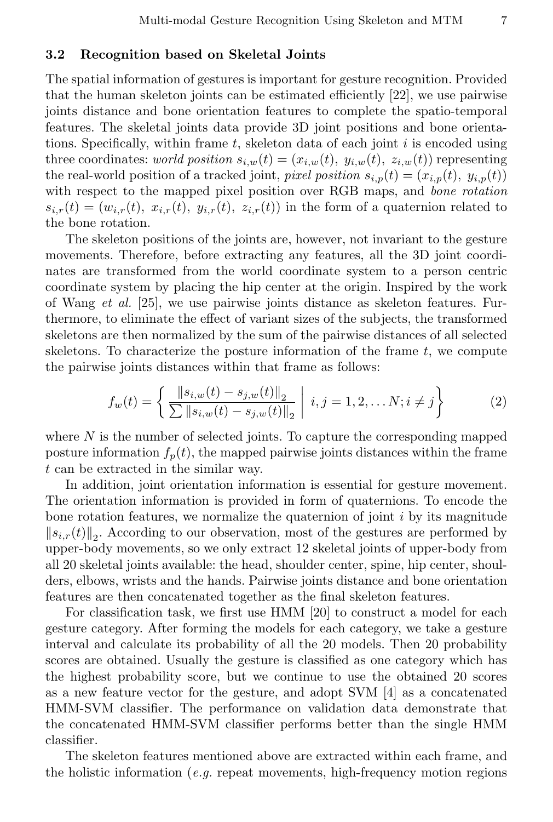#### 3.2 Recognition based on Skeletal Joints

The spatial information of gestures is important for gesture recognition. Provided that the human skeleton joints can be estimated efficiently [22], we use pairwise joints distance and bone orientation features to complete the spatio-temporal features. The skeletal joints data provide 3D joint positions and bone orientations. Specifically, within frame  $t$ , skeleton data of each joint  $i$  is encoded using three coordinates: world position  $s_{i,w}(t) = (x_{i,w}(t), y_{i,w}(t), z_{i,w}(t))$  representing the real-world position of a tracked joint, *pixel position*  $s_{i,p}(t) = (x_{i,p}(t), y_{i,p}(t))$ with respect to the mapped pixel position over RGB maps, and *bone rotation*  $s_{i,r}(t) = (w_{i,r}(t), x_{i,r}(t), y_{i,r}(t), z_{i,r}(t))$  in the form of a quaternion related to the bone rotation.

The skeleton positions of the joints are, however, not invariant to the gesture movements. Therefore, before extracting any features, all the 3D joint coordinates are transformed from the world coordinate system to a person centric coordinate system by placing the hip center at the origin. Inspired by the work of Wang et al. [25], we use pairwise joints distance as skeleton features. Furthermore, to eliminate the effect of variant sizes of the subjects, the transformed skeletons are then normalized by the sum of the pairwise distances of all selected skeletons. To characterize the posture information of the frame  $t$ , we compute the pairwise joints distances within that frame as follows:

$$
f_w(t) = \left\{ \frac{\|s_{i,w}(t) - s_{j,w}(t)\|_2}{\sum \|s_{i,w}(t) - s_{j,w}(t)\|_2} \; \middle| \; i, j = 1, 2, \dots N; i \neq j \right\}
$$
(2)

where  $N$  is the number of selected joints. To capture the corresponding mapped posture information  $f_n(t)$ , the mapped pairwise joints distances within the frame t can be extracted in the similar way.

In addition, joint orientation information is essential for gesture movement. The orientation information is provided in form of quaternions. To encode the bone rotation features, we normalize the quaternion of joint  $i$  by its magnitude  $||s_{i,r}(t)||_2$ . According to our observation, most of the gestures are performed by upper-body movements, so we only extract 12 skeletal joints of upper-body from all 20 skeletal joints available: the head, shoulder center, spine, hip center, shoulders, elbows, wrists and the hands. Pairwise joints distance and bone orientation features are then concatenated together as the final skeleton features.

For classification task, we first use HMM [20] to construct a model for each gesture category. After forming the models for each category, we take a gesture interval and calculate its probability of all the 20 models. Then 20 probability scores are obtained. Usually the gesture is classified as one category which has the highest probability score, but we continue to use the obtained 20 scores as a new feature vector for the gesture, and adopt SVM [4] as a concatenated HMM-SVM classifier. The performance on validation data demonstrate that the concatenated HMM-SVM classifier performs better than the single HMM classifier.

The skeleton features mentioned above are extracted within each frame, and the holistic information (*e.g.* repeat movements, high-frequency motion regions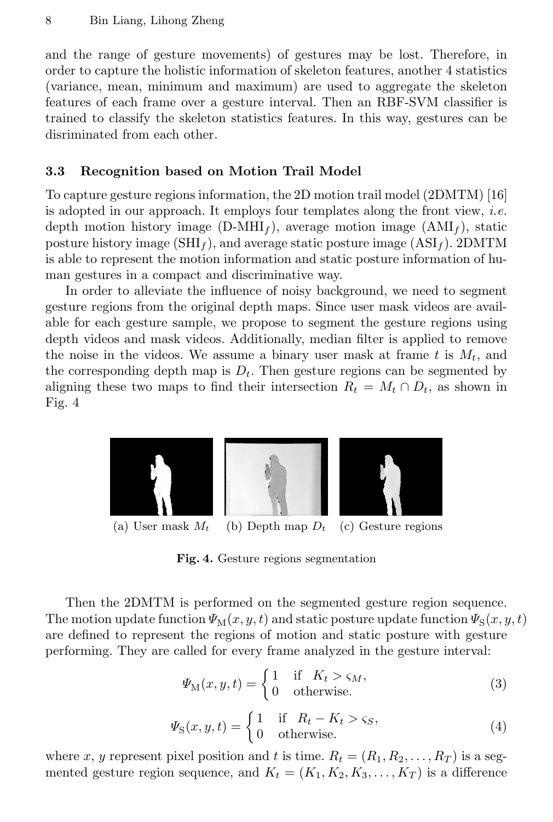and the range of gesture movements) of gestures may be lost. Therefore, in order to capture the holistic information of skeleton features, another 4 statistics (variance, mean, minimum and maximum) are used to aggregate the skeleton features of each frame over a gesture interval. Then an RBF-SVM classifier is trained to classify the skeleton statistics features. In this way, gestures can be disriminated from each other.

### 3.3 Recognition based on Motion Trail Model

To capture gesture regions information, the 2D motion trail model (2DMTM) [16] is adopted in our approach. It employs four templates along the front view, *i.e.* depth motion history image (D-MHI<sub>f</sub>), average motion image  $(AMI_f)$ , static posture history image (SHI<sub>f</sub>), and average static posture image (ASI<sub>f</sub>). 2DMTM is able to represent the motion information and static posture information of human gestures in a compact and discriminative way.

In order to alleviate the influence of noisy background, we need to segment gesture regions from the original depth maps. Since user mask videos are available for each gesture sample, we propose to segment the gesture regions using depth videos and mask videos. Additionally, median filter is applied to remove the noise in the videos. We assume a binary user mask at frame t is  $M_t$ , and the corresponding depth map is  $D_t$ . Then gesture regions can be segmented by aligning these two maps to find their intersection  $R_t = M_t \cap D_t$ , as shown in Fig. 4



Fig. 4. Gesture regions segmentation

Then the 2DMTM is performed on the segmented gesture region sequence. The motion update function  $\Psi_{\mathcal{M}}(x, y, t)$  and static posture update function  $\Psi_{\mathcal{S}}(x, y, t)$ are defined to represent the regions of motion and static posture with gesture performing. They are called for every frame analyzed in the gesture interval:

$$
\Psi_{\mathcal{M}}(x, y, t) = \begin{cases} 1 & \text{if } K_t > \varsigma_M, \\ 0 & \text{otherwise.} \end{cases}
$$
 (3)

$$
\Psi_{\mathcal{S}}(x, y, t) = \begin{cases} 1 & \text{if } R_t - K_t > \varsigma_S, \\ 0 & \text{otherwise.} \end{cases}
$$
(4)

where x, y represent pixel position and t is time.  $R_t = (R_1, R_2, \ldots, R_T)$  is a segmented gesture region sequence, and  $K_t = (K_1, K_2, K_3, \ldots, K_T)$  is a difference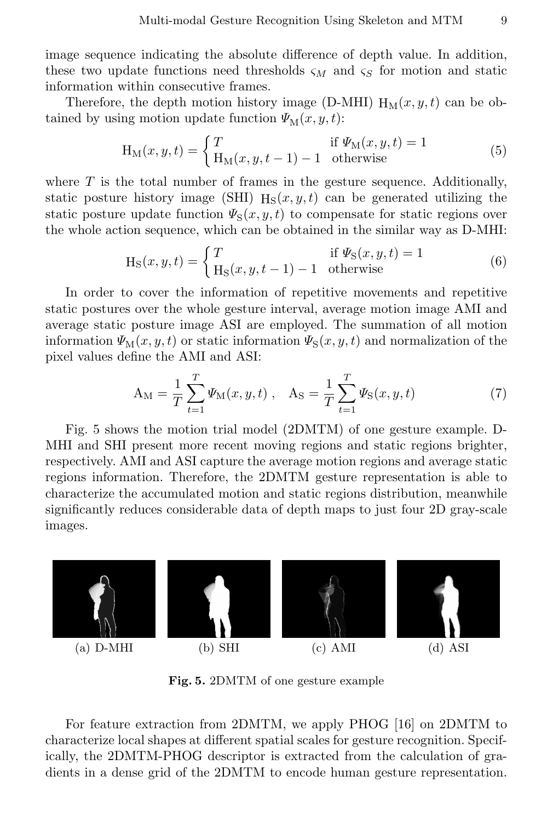image sequence indicating the absolute difference of depth value. In addition, these two update functions need thresholds  $\varsigma_M$  and  $\varsigma_S$  for motion and static information within consecutive frames.

Therefore, the depth motion history image (D-MHI)  $H_M(x, y, t)$  can be obtained by using motion update function  $\Psi_{\mathcal{M}}(x, y, t)$ :

$$
H_M(x, y, t) = \begin{cases} T & \text{if } \Psi_M(x, y, t) = 1\\ H_M(x, y, t - 1) - 1 & \text{otherwise} \end{cases}
$$
(5)

where  $T$  is the total number of frames in the gesture sequence. Additionally, static posture history image (SHI)  $H_S(x, y, t)$  can be generated utilizing the static posture update function  $\Psi_{S}(x, y, t)$  to compensate for static regions over the whole action sequence, which can be obtained in the similar way as D-MHI:

$$
H_S(x, y, t) = \begin{cases} T & \text{if } \Psi_S(x, y, t) = 1\\ H_S(x, y, t - 1) - 1 & \text{otherwise} \end{cases}
$$
(6)

In order to cover the information of repetitive movements and repetitive static postures over the whole gesture interval, average motion image AMI and average static posture image ASI are employed. The summation of all motion information  $\Psi_{\mathcal{M}}(x, y, t)$  or static information  $\Psi_{\mathcal{S}}(x, y, t)$  and normalization of the pixel values define the AMI and ASI:

$$
A_M = \frac{1}{T} \sum_{t=1}^T \Psi_M(x, y, t) , \quad A_S = \frac{1}{T} \sum_{t=1}^T \Psi_S(x, y, t)
$$
 (7)

Fig. 5 shows the motion trial model (2DMTM) of one gesture example. D-MHI and SHI present more recent moving regions and static regions brighter, respectively. AMI and ASI capture the average motion regions and average static regions information. Therefore, the 2DMTM gesture representation is able to characterize the accumulated motion and static regions distribution, meanwhile significantly reduces considerable data of depth maps to just four 2D gray-scale images.



Fig. 5. 2DMTM of one gesture example

For feature extraction from 2DMTM, we apply PHOG [16] on 2DMTM to characterize local shapes at different spatial scales for gesture recognition. Specifically, the 2DMTM-PHOG descriptor is extracted from the calculation of gradients in a dense grid of the 2DMTM to encode human gesture representation.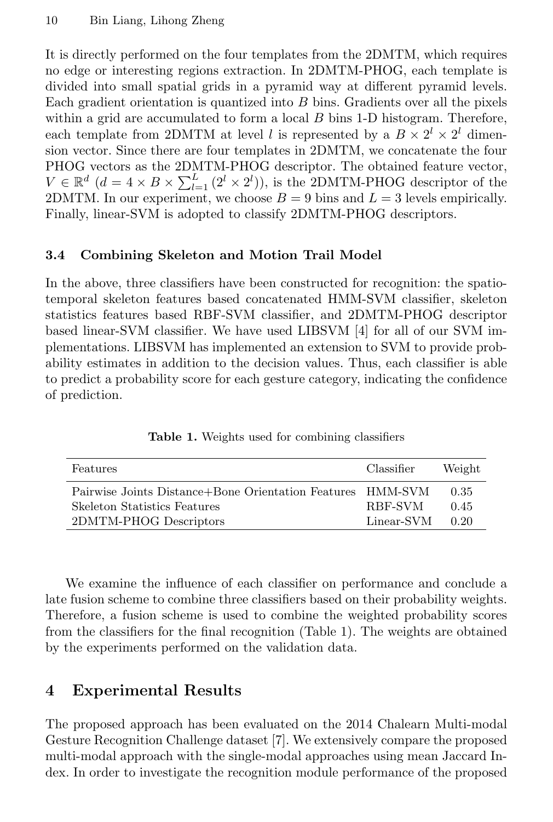It is directly performed on the four templates from the 2DMTM, which requires no edge or interesting regions extraction. In 2DMTM-PHOG, each template is divided into small spatial grids in a pyramid way at different pyramid levels. Each gradient orientation is quantized into B bins. Gradients over all the pixels within a grid are accumulated to form a local  $B$  bins 1-D histogram. Therefore, each template from 2DMTM at level *l* is represented by a  $B \times 2^{l} \times 2^{l}$  dimension vector. Since there are four templates in 2DMTM, we concatenate the four PHOG vectors as the 2DMTM-PHOG descriptor. The obtained feature vector,  $V \in \mathbb{R}^d$   $(d = 4 \times B \times \sum_{l=1}^L (2^l \times 2^l))$ , is the 2DMTM-PHOG descriptor of the 2DMTM. In our experiment, we choose  $B = 9$  bins and  $L = 3$  levels empirically. Finally, linear-SVM is adopted to classify 2DMTM-PHOG descriptors.

### 3.4 Combining Skeleton and Motion Trail Model

In the above, three classifiers have been constructed for recognition: the spatiotemporal skeleton features based concatenated HMM-SVM classifier, skeleton statistics features based RBF-SVM classifier, and 2DMTM-PHOG descriptor based linear-SVM classifier. We have used LIBSVM [4] for all of our SVM implementations. LIBSVM has implemented an extension to SVM to provide probability estimates in addition to the decision values. Thus, each classifier is able to predict a probability score for each gesture category, indicating the confidence of prediction.

| Features                                                      | Classifier                   | Weight       |
|---------------------------------------------------------------|------------------------------|--------------|
| Pairwise Joints Distance+Bone Orientation Features HMM-SVM    |                              | 0.35         |
| <b>Skeleton Statistics Features</b><br>2DMTM-PHOG Descriptors | <b>RBF-SVM</b><br>Linear-SVM | 0.45<br>0.20 |
|                                                               |                              |              |

Table 1. Weights used for combining classifiers

We examine the influence of each classifier on performance and conclude a late fusion scheme to combine three classifiers based on their probability weights. Therefore, a fusion scheme is used to combine the weighted probability scores from the classifiers for the final recognition (Table 1). The weights are obtained by the experiments performed on the validation data.

# 4 Experimental Results

The proposed approach has been evaluated on the 2014 Chalearn Multi-modal Gesture Recognition Challenge dataset [7]. We extensively compare the proposed multi-modal approach with the single-modal approaches using mean Jaccard Index. In order to investigate the recognition module performance of the proposed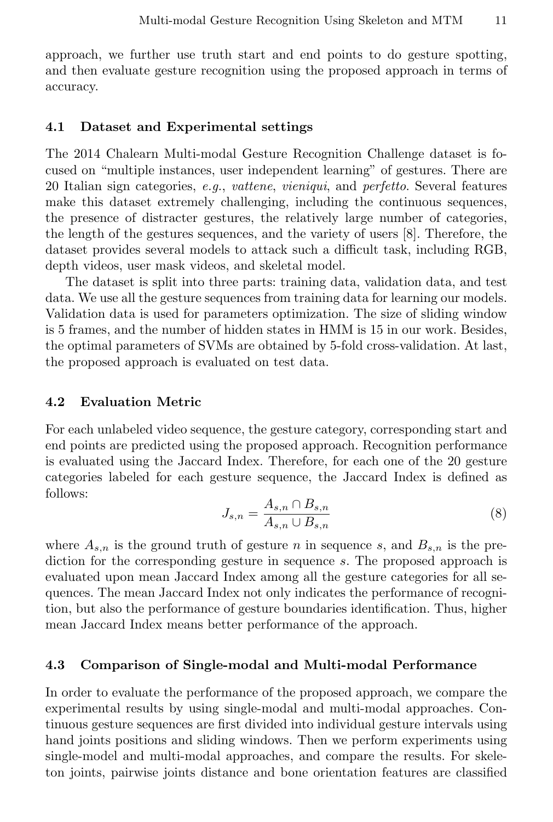approach, we further use truth start and end points to do gesture spotting, and then evaluate gesture recognition using the proposed approach in terms of accuracy.

### 4.1 Dataset and Experimental settings

The 2014 Chalearn Multi-modal Gesture Recognition Challenge dataset is focused on "multiple instances, user independent learning" of gestures. There are 20 Italian sign categories, e.g., vattene, vieniqui, and perfetto. Several features make this dataset extremely challenging, including the continuous sequences, the presence of distracter gestures, the relatively large number of categories, the length of the gestures sequences, and the variety of users [8]. Therefore, the dataset provides several models to attack such a difficult task, including RGB, depth videos, user mask videos, and skeletal model.

The dataset is split into three parts: training data, validation data, and test data. We use all the gesture sequences from training data for learning our models. Validation data is used for parameters optimization. The size of sliding window is 5 frames, and the number of hidden states in HMM is 15 in our work. Besides, the optimal parameters of SVMs are obtained by 5-fold cross-validation. At last, the proposed approach is evaluated on test data.

### 4.2 Evaluation Metric

For each unlabeled video sequence, the gesture category, corresponding start and end points are predicted using the proposed approach. Recognition performance is evaluated using the Jaccard Index. Therefore, for each one of the 20 gesture categories labeled for each gesture sequence, the Jaccard Index is defined as follows:

$$
J_{s,n} = \frac{A_{s,n} \cap B_{s,n}}{A_{s,n} \cup B_{s,n}}\tag{8}
$$

where  $A_{s,n}$  is the ground truth of gesture n in sequence s, and  $B_{s,n}$  is the prediction for the corresponding gesture in sequence s. The proposed approach is evaluated upon mean Jaccard Index among all the gesture categories for all sequences. The mean Jaccard Index not only indicates the performance of recognition, but also the performance of gesture boundaries identification. Thus, higher mean Jaccard Index means better performance of the approach.

### 4.3 Comparison of Single-modal and Multi-modal Performance

In order to evaluate the performance of the proposed approach, we compare the experimental results by using single-modal and multi-modal approaches. Continuous gesture sequences are first divided into individual gesture intervals using hand joints positions and sliding windows. Then we perform experiments using single-model and multi-modal approaches, and compare the results. For skeleton joints, pairwise joints distance and bone orientation features are classified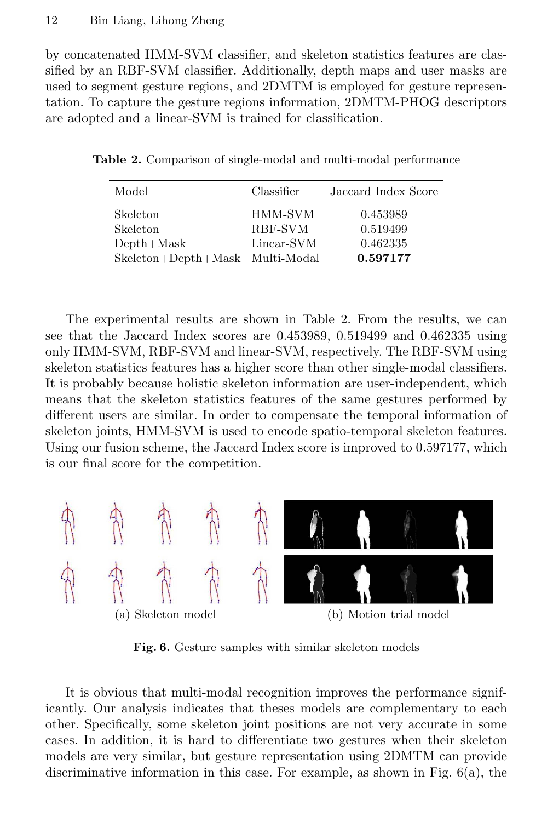by concatenated HMM-SVM classifier, and skeleton statistics features are classified by an RBF-SVM classifier. Additionally, depth maps and user masks are used to segment gesture regions, and 2DMTM is employed for gesture representation. To capture the gesture regions information, 2DMTM-PHOG descriptors are adopted and a linear-SVM is trained for classification.

| Model                           | Classifier | Jaccard Index Score |
|---------------------------------|------------|---------------------|
| Skeleton                        | HMM-SVM    | 0.453989            |
| Skeleton                        | RBF-SVM    | 0.519499            |
| $Depth+Mask$                    | Linear-SVM | 0.462335            |
| Skeleton+Depth+Mask Multi-Modal |            | 0.597177            |

Table 2. Comparison of single-modal and multi-modal performance

The experimental results are shown in Table 2. From the results, we can see that the Jaccard Index scores are 0.453989, 0.519499 and 0.462335 using only HMM-SVM, RBF-SVM and linear-SVM, respectively. The RBF-SVM using skeleton statistics features has a higher score than other single-modal classifiers. It is probably because holistic skeleton information are user-independent, which means that the skeleton statistics features of the same gestures performed by different users are similar. In order to compensate the temporal information of skeleton joints, HMM-SVM is used to encode spatio-temporal skeleton features. Using our fusion scheme, the Jaccard Index score is improved to 0.597177, which is our final score for the competition.



Fig. 6. Gesture samples with similar skeleton models

It is obvious that multi-modal recognition improves the performance significantly. Our analysis indicates that theses models are complementary to each other. Specifically, some skeleton joint positions are not very accurate in some cases. In addition, it is hard to differentiate two gestures when their skeleton models are very similar, but gesture representation using 2DMTM can provide discriminative information in this case. For example, as shown in Fig.  $6(a)$ , the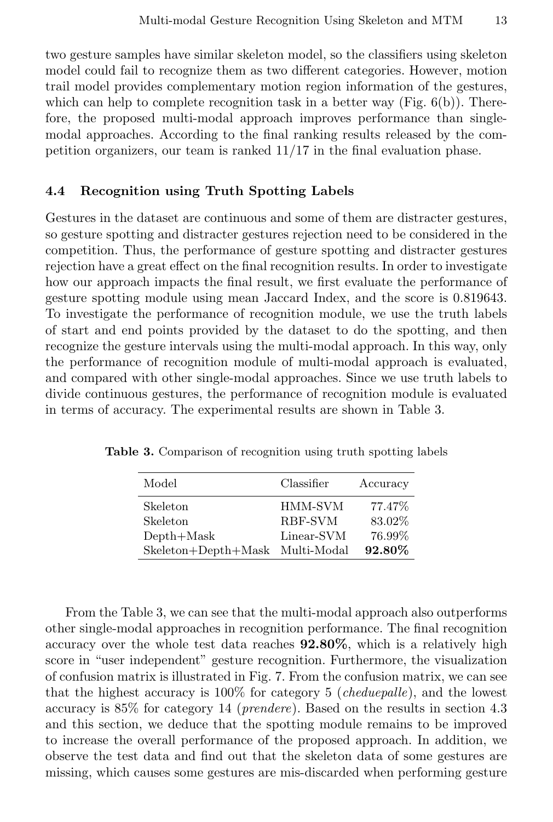two gesture samples have similar skeleton model, so the classifiers using skeleton model could fail to recognize them as two different categories. However, motion trail model provides complementary motion region information of the gestures, which can help to complete recognition task in a better way (Fig.  $6(b)$ ). Therefore, the proposed multi-modal approach improves performance than singlemodal approaches. According to the final ranking results released by the competition organizers, our team is ranked 11/17 in the final evaluation phase.

### 4.4 Recognition using Truth Spotting Labels

Gestures in the dataset are continuous and some of them are distracter gestures, so gesture spotting and distracter gestures rejection need to be considered in the competition. Thus, the performance of gesture spotting and distracter gestures rejection have a great effect on the final recognition results. In order to investigate how our approach impacts the final result, we first evaluate the performance of gesture spotting module using mean Jaccard Index, and the score is 0.819643. To investigate the performance of recognition module, we use the truth labels of start and end points provided by the dataset to do the spotting, and then recognize the gesture intervals using the multi-modal approach. In this way, only the performance of recognition module of multi-modal approach is evaluated, and compared with other single-modal approaches. Since we use truth labels to divide continuous gestures, the performance of recognition module is evaluated in terms of accuracy. The experimental results are shown in Table 3.

| Model                           | Classifier     | Accuracy |
|---------------------------------|----------------|----------|
| Skeleton                        | <b>HMM-SVM</b> | 77.47%   |
| Skeleton                        | <b>RBF-SVM</b> | 83.02%   |
| $Depth+Mask$                    | Linear-SVM     | 76.99%   |
| Skeleton+Depth+Mask Multi-Modal |                | 92.80%   |

Table 3. Comparison of recognition using truth spotting labels

From the Table 3, we can see that the multi-modal approach also outperforms other single-modal approaches in recognition performance. The final recognition accuracy over the whole test data reaches  $92.80\%$ , which is a relatively high score in "user independent" gesture recognition. Furthermore, the visualization of confusion matrix is illustrated in Fig. 7. From the confusion matrix, we can see that the highest accuracy is  $100\%$  for category 5 (*cheduepalle*), and the lowest accuracy is 85% for category 14 (prendere). Based on the results in section 4.3 and this section, we deduce that the spotting module remains to be improved to increase the overall performance of the proposed approach. In addition, we observe the test data and find out that the skeleton data of some gestures are missing, which causes some gestures are mis-discarded when performing gesture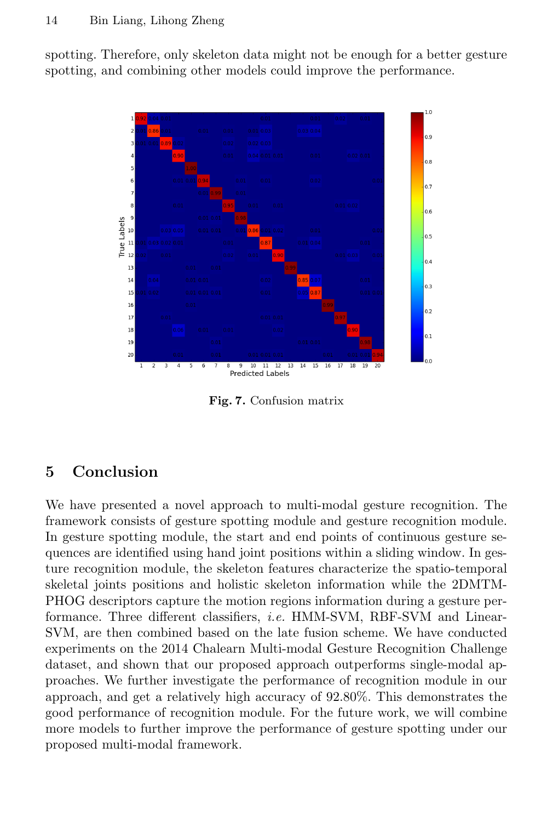spotting. Therefore, only skeleton data might not be enough for a better gesture spotting, and combining other models could improve the performance.



Fig. 7. Confusion matrix

# 5 Conclusion

We have presented a novel approach to multi-modal gesture recognition. The framework consists of gesture spotting module and gesture recognition module. In gesture spotting module, the start and end points of continuous gesture sequences are identified using hand joint positions within a sliding window. In gesture recognition module, the skeleton features characterize the spatio-temporal skeletal joints positions and holistic skeleton information while the 2DMTM-PHOG descriptors capture the motion regions information during a gesture performance. Three different classifiers, i.e. HMM-SVM, RBF-SVM and Linear-SVM, are then combined based on the late fusion scheme. We have conducted experiments on the 2014 Chalearn Multi-modal Gesture Recognition Challenge dataset, and shown that our proposed approach outperforms single-modal approaches. We further investigate the performance of recognition module in our approach, and get a relatively high accuracy of 92.80%. This demonstrates the good performance of recognition module. For the future work, we will combine more models to further improve the performance of gesture spotting under our proposed multi-modal framework.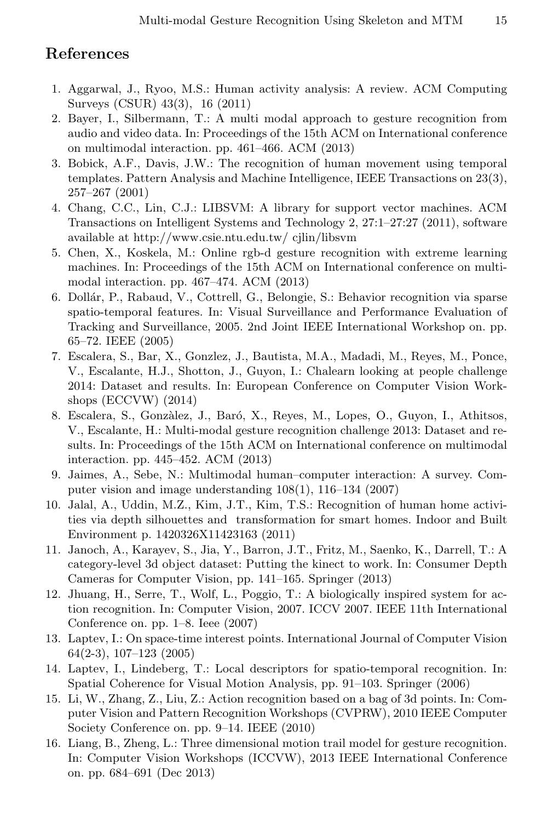# References

- 1. Aggarwal, J., Ryoo, M.S.: Human activity analysis: A review. ACM Computing Surveys (CSUR) 43(3), 16 (2011)
- 2. Bayer, I., Silbermann, T.: A multi modal approach to gesture recognition from audio and video data. In: Proceedings of the 15th ACM on International conference on multimodal interaction. pp. 461–466. ACM (2013)
- 3. Bobick, A.F., Davis, J.W.: The recognition of human movement using temporal templates. Pattern Analysis and Machine Intelligence, IEEE Transactions on 23(3), 257–267 (2001)
- 4. Chang, C.C., Lin, C.J.: LIBSVM: A library for support vector machines. ACM Transactions on Intelligent Systems and Technology 2, 27:1–27:27 (2011), software available at http://www.csie.ntu.edu.tw/ cjlin/libsvm
- 5. Chen, X., Koskela, M.: Online rgb-d gesture recognition with extreme learning machines. In: Proceedings of the 15th ACM on International conference on multimodal interaction. pp. 467–474. ACM (2013)
- 6. Dollár, P., Rabaud, V., Cottrell, G., Belongie, S.: Behavior recognition via sparse spatio-temporal features. In: Visual Surveillance and Performance Evaluation of Tracking and Surveillance, 2005. 2nd Joint IEEE International Workshop on. pp. 65–72. IEEE (2005)
- 7. Escalera, S., Bar, X., Gonzlez, J., Bautista, M.A., Madadi, M., Reyes, M., Ponce, V., Escalante, H.J., Shotton, J., Guyon, I.: Chalearn looking at people challenge 2014: Dataset and results. In: European Conference on Computer Vision Workshops (ECCVW) (2014)
- 8. Escalera, S., Gonzàlez, J., Baró, X., Reyes, M., Lopes, O., Guyon, I., Athitsos, V., Escalante, H.: Multi-modal gesture recognition challenge 2013: Dataset and results. In: Proceedings of the 15th ACM on International conference on multimodal interaction. pp. 445–452. ACM (2013)
- 9. Jaimes, A., Sebe, N.: Multimodal human–computer interaction: A survey. Computer vision and image understanding 108(1), 116–134 (2007)
- 10. Jalal, A., Uddin, M.Z., Kim, J.T., Kim, T.S.: Recognition of human home activities via depth silhouettes and transformation for smart homes. Indoor and Built Environment p. 1420326X11423163 (2011)
- 11. Janoch, A., Karayev, S., Jia, Y., Barron, J.T., Fritz, M., Saenko, K., Darrell, T.: A category-level 3d object dataset: Putting the kinect to work. In: Consumer Depth Cameras for Computer Vision, pp. 141–165. Springer (2013)
- 12. Jhuang, H., Serre, T., Wolf, L., Poggio, T.: A biologically inspired system for action recognition. In: Computer Vision, 2007. ICCV 2007. IEEE 11th International Conference on. pp. 1–8. Ieee (2007)
- 13. Laptev, I.: On space-time interest points. International Journal of Computer Vision 64(2-3), 107–123 (2005)
- 14. Laptev, I., Lindeberg, T.: Local descriptors for spatio-temporal recognition. In: Spatial Coherence for Visual Motion Analysis, pp. 91–103. Springer (2006)
- 15. Li, W., Zhang, Z., Liu, Z.: Action recognition based on a bag of 3d points. In: Computer Vision and Pattern Recognition Workshops (CVPRW), 2010 IEEE Computer Society Conference on. pp. 9–14. IEEE (2010)
- 16. Liang, B., Zheng, L.: Three dimensional motion trail model for gesture recognition. In: Computer Vision Workshops (ICCVW), 2013 IEEE International Conference on. pp. 684–691 (Dec 2013)